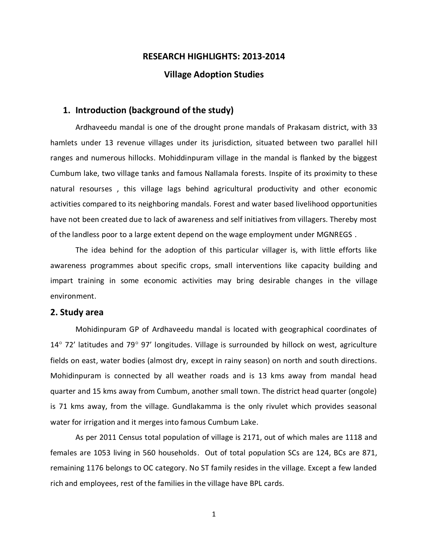# **RESEARCH HIGHLIGHTS: 2013-2014**

## **Village Adoption Studies**

## **1. Introduction (background of the study)**

Ardhaveedu mandal is one of the drought prone mandals of Prakasam district, with 33 hamlets under 13 revenue villages under its jurisdiction, situated between two parallel hill ranges and numerous hillocks. Mohiddinpuram village in the mandal is flanked by the biggest Cumbum lake, two village tanks and famous Nallamala forests. Inspite of its proximity to these natural resourses , this village lags behind agricultural productivity and other economic activities compared to its neighboring mandals. Forest and water based livelihood opportunities have not been created due to lack of awareness and self initiatives from villagers. Thereby most of the landless poor to a large extent depend on the wage employment under MGNREGS .

The idea behind for the adoption of this particular villager is, with little efforts like awareness programmes about specific crops, small interventions like capacity building and impart training in some economic activities may bring desirable changes in the village environment.

#### **2. Study area**

Mohidinpuram GP of Ardhaveedu mandal is located with geographical coordinates of  $14^{\circ}$  72' latitudes and 79 $^{\circ}$  97' longitudes. Village is surrounded by hillock on west, agriculture fields on east, water bodies (almost dry, except in rainy season) on north and south directions. Mohidinpuram is connected by all weather roads and is 13 kms away from mandal head quarter and 15 kms away from Cumbum, another small town. The district head quarter (ongole) is 71 kms away, from the village. Gundlakamma is the only rivulet which provides seasonal water for irrigation and it merges into famous Cumbum Lake.

As per 2011 Census total population of village is 2171, out of which males are 1118 and females are 1053 living in 560 households. Out of total population SCs are 124, BCs are 871, remaining 1176 belongs to OC category. No ST family resides in the village. Except a few landed rich and employees, rest of the families in the village have BPL cards.

1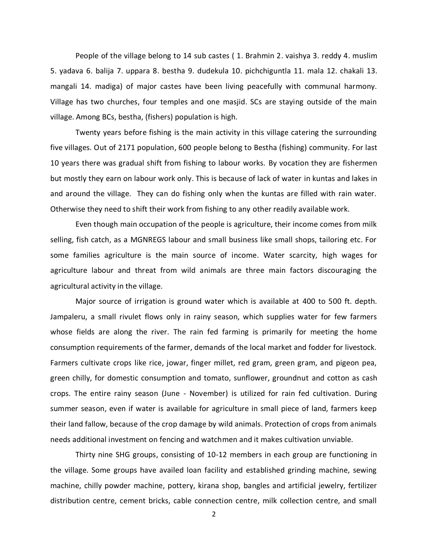People of the village belong to 14 sub castes ( 1. Brahmin 2. vaishya 3. reddy 4. muslim 5. yadava 6. balija 7. uppara 8. bestha 9. dudekula 10. pichchiguntla 11. mala 12. chakali 13. mangali 14. madiga) of major castes have been living peacefully with communal harmony. Village has two churches, four temples and one masjid. SCs are staying outside of the main village. Among BCs, bestha, (fishers) population is high.

Twenty years before fishing is the main activity in this village catering the surrounding five villages. Out of 2171 population, 600 people belong to Bestha (fishing) community. For last 10 years there was gradual shift from fishing to labour works. By vocation they are fishermen but mostly they earn on labour work only. This is because of lack of water in kuntas and lakes in and around the village. They can do fishing only when the kuntas are filled with rain water. Otherwise they need to shift their work from fishing to any other readily available work.

Even though main occupation of the people is agriculture, their income comes from milk selling, fish catch, as a MGNREGS labour and small business like small shops, tailoring etc. For some families agriculture is the main source of income. Water scarcity, high wages for agriculture labour and threat from wild animals are three main factors discouraging the agricultural activity in the village.

Major source of irrigation is ground water which is available at 400 to 500 ft. depth. Jampaleru, a small rivulet flows only in rainy season, which supplies water for few farmers whose fields are along the river. The rain fed farming is primarily for meeting the home consumption requirements of the farmer, demands of the local market and fodder for livestock. Farmers cultivate crops like rice, jowar, finger millet, red gram, green gram, and pigeon pea, green chilly, for domestic consumption and tomato, sunflower, groundnut and cotton as cash crops. The entire rainy season (June - November) is utilized for rain fed cultivation. During summer season, even if water is available for agriculture in small piece of land, farmers keep their land fallow, because of the crop damage by wild animals. Protection of crops from animals needs additional investment on fencing and watchmen and it makes cultivation unviable.

Thirty nine SHG groups, consisting of 10-12 members in each group are functioning in the village. Some groups have availed loan facility and established grinding machine, sewing machine, chilly powder machine, pottery, kirana shop, bangles and artificial jewelry, fertilizer distribution centre, cement bricks, cable connection centre, milk collection centre, and small

2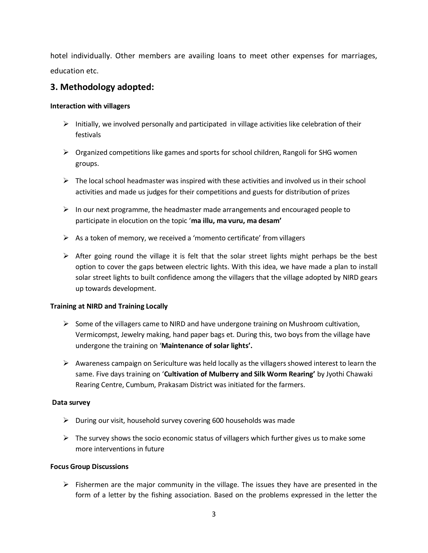hotel individually. Other members are availing loans to meet other expenses for marriages, education etc.

# **3. Methodology adopted:**

#### **Interaction with villagers**

- $\triangleright$  Initially, we involved personally and participated in village activities like celebration of their festivals
- $\triangleright$  Organized competitions like games and sports for school children, Rangoli for SHG women groups.
- $\triangleright$  The local school headmaster was inspired with these activities and involved us in their school activities and made us judges for their competitions and guests for distribution of prizes
- $\triangleright$  In our next programme, the headmaster made arrangements and encouraged people to participate in elocution on the topic '**ma illu, ma vuru, ma desam'**
- $\triangleright$  As a token of memory, we received a 'momento certificate' from villagers
- $\triangleright$  After going round the village it is felt that the solar street lights might perhaps be the best option to cover the gaps between electric lights. With this idea, we have made a plan to install solar street lights to built confidence among the villagers that the village adopted by NIRD gears up towards development.

#### **Training at NIRD and Training Locally**

- $\triangleright$  Some of the villagers came to NIRD and have undergone training on Mushroom cultivation, Vermicompst, Jewelry making, hand paper bags et. During this, two boys from the village have undergone the training on '**Maintenance of solar lights'.**
- $\triangleright$  Awareness campaign on Sericulture was held locally as the villagers showed interest to learn the same. Five days training on '**Cultivation of Mulberry and Silk Worm Rearing'** by Jyothi Chawaki Rearing Centre, Cumbum, Prakasam District was initiated for the farmers.

## **Data survey**

- $\triangleright$  During our visit, household survey covering 600 households was made
- $\triangleright$  The survey shows the socio economic status of villagers which further gives us to make some more interventions in future

#### **Focus Group Discussions**

 $\triangleright$  Fishermen are the major community in the village. The issues they have are presented in the form of a letter by the fishing association. Based on the problems expressed in the letter the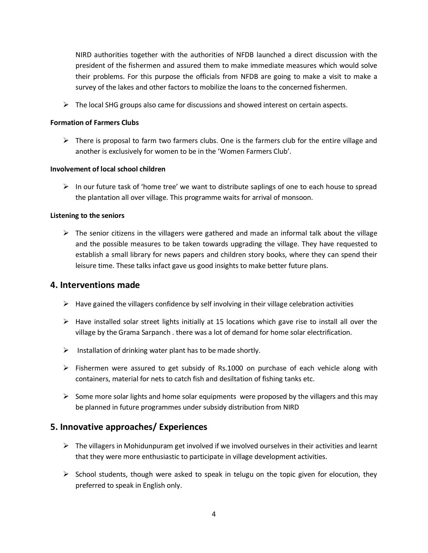NIRD authorities together with the authorities of NFDB launched a direct discussion with the president of the fishermen and assured them to make immediate measures which would solve their problems. For this purpose the officials from NFDB are going to make a visit to make a survey of the lakes and other factors to mobilize the loans to the concerned fishermen.

 $\triangleright$  The local SHG groups also came for discussions and showed interest on certain aspects.

#### **Formation of Farmers Clubs**

 $\triangleright$  There is proposal to farm two farmers clubs. One is the farmers club for the entire village and another is exclusively for women to be in the 'Women Farmers Club'.

## **Involvement of local school children**

 $\triangleright$  In our future task of 'home tree' we want to distribute saplings of one to each house to spread the plantation all over village. This programme waits for arrival of monsoon.

## **Listening to the seniors**

 $\triangleright$  The senior citizens in the villagers were gathered and made an informal talk about the village and the possible measures to be taken towards upgrading the village. They have requested to establish a small library for news papers and children story books, where they can spend their leisure time. These talks infact gave us good insights to make better future plans.

# **4. Interventions made**

- $\triangleright$  Have gained the villagers confidence by self involving in their village celebration activities
- $\triangleright$  Have installed solar street lights initially at 15 locations which gave rise to install all over the village by the Grama Sarpanch . there was a lot of demand for home solar electrification.
- $\triangleright$  Installation of drinking water plant has to be made shortly.
- $\triangleright$  Fishermen were assured to get subsidy of Rs.1000 on purchase of each vehicle along with containers, material for nets to catch fish and desiltation of fishing tanks etc.
- $\triangleright$  Some more solar lights and home solar equipments were proposed by the villagers and this may be planned in future programmes under subsidy distribution from NIRD

# **5. Innovative approaches/ Experiences**

- $\triangleright$  The villagers in Mohidunpuram get involved if we involved ourselves in their activities and learnt that they were more enthusiastic to participate in village development activities.
- $\triangleright$  School students, though were asked to speak in telugu on the topic given for elocution, they preferred to speak in English only.